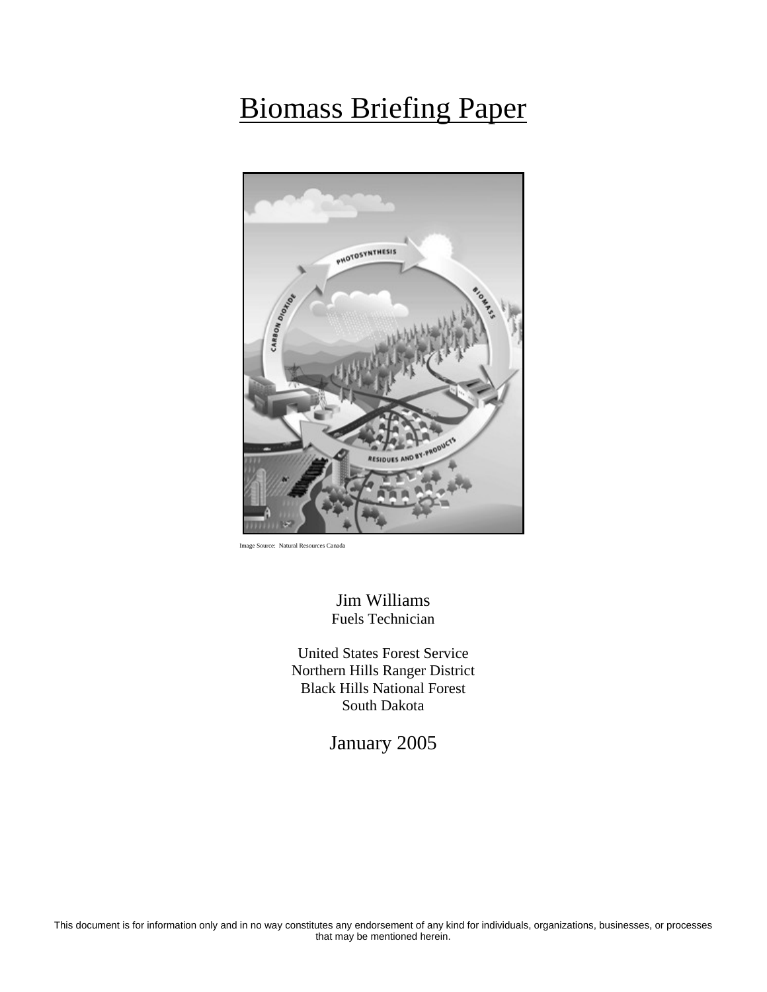# Biomass Briefing Paper



urce: Natural Resources Canada

Jim Williams Fuels Technician

United States Forest Service Northern Hills Ranger District Black Hills National Forest South Dakota

January 2005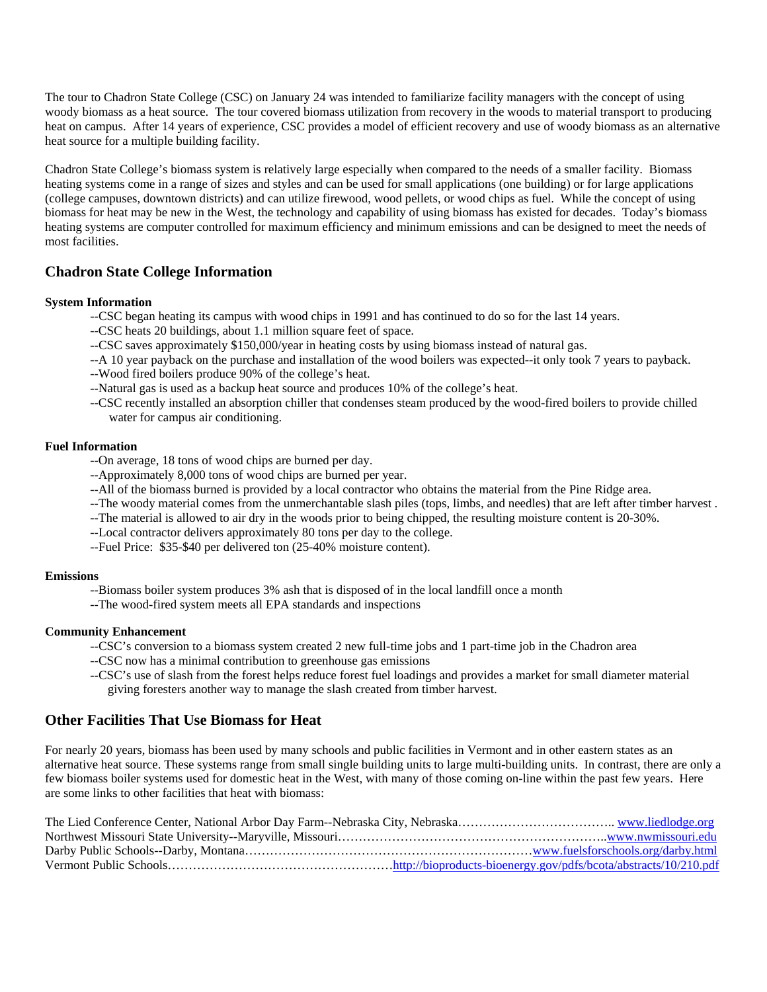The tour to Chadron State College (CSC) on January 24 was intended to familiarize facility managers with the concept of using woody biomass as a heat source. The tour covered biomass utilization from recovery in the woods to material transport to producing heat on campus. After 14 years of experience, CSC provides a model of efficient recovery and use of woody biomass as an alternative heat source for a multiple building facility.

Chadron State College's biomass system is relatively large especially when compared to the needs of a smaller facility. Biomass heating systems come in a range of sizes and styles and can be used for small applications (one building) or for large applications (college campuses, downtown districts) and can utilize firewood, wood pellets, or wood chips as fuel. While the concept of using biomass for heat may be new in the West, the technology and capability of using biomass has existed for decades. Today's biomass heating systems are computer controlled for maximum efficiency and minimum emissions and can be designed to meet the needs of most facilities.

# **Chadron State College Information**

#### **System Information**

- --CSC began heating its campus with wood chips in 1991 and has continued to do so for the last 14 years.
- --CSC heats 20 buildings, about 1.1 million square feet of space.
- --CSC saves approximately \$150,000/year in heating costs by using biomass instead of natural gas.
- --A 10 year payback on the purchase and installation of the wood boilers was expected--it only took 7 years to payback.
- --Wood fired boilers produce 90% of the college's heat.
- --Natural gas is used as a backup heat source and produces 10% of the college's heat.
- --CSC recently installed an absorption chiller that condenses steam produced by the wood-fired boilers to provide chilled water for campus air conditioning.

#### **Fuel Information**

- --On average, 18 tons of wood chips are burned per day.
- --Approximately 8,000 tons of wood chips are burned per year.
- --All of the biomass burned is provided by a local contractor who obtains the material from the Pine Ridge area.
- --The woody material comes from the unmerchantable slash piles (tops, limbs, and needles) that are left after timber harvest .
- --The material is allowed to air dry in the woods prior to being chipped, the resulting moisture content is 20-30%.
- --Local contractor delivers approximately 80 tons per day to the college.
- --Fuel Price: \$35-\$40 per delivered ton (25-40% moisture content).

#### **Emissions**

- --Biomass boiler system produces 3% ash that is disposed of in the local landfill once a month
- --The wood-fired system meets all EPA standards and inspections

#### **Community Enhancement**

- --CSC's conversion to a biomass system created 2 new full-time jobs and 1 part-time job in the Chadron area
- --CSC now has a minimal contribution to greenhouse gas emissions
- --CSC's use of slash from the forest helps reduce forest fuel loadings and provides a market for small diameter material giving foresters another way to manage the slash created from timber harvest.

### **Other Facilities That Use Biomass for Heat**

For nearly 20 years, biomass has been used by many schools and public facilities in Vermont and in other eastern states as an alternative heat source. These systems range from small single building units to large multi-building units. In contrast, there are only a few biomass boiler systems used for domestic heat in the West, with many of those coming on-line within the past few years. Here are some links to other facilities that heat with biomass: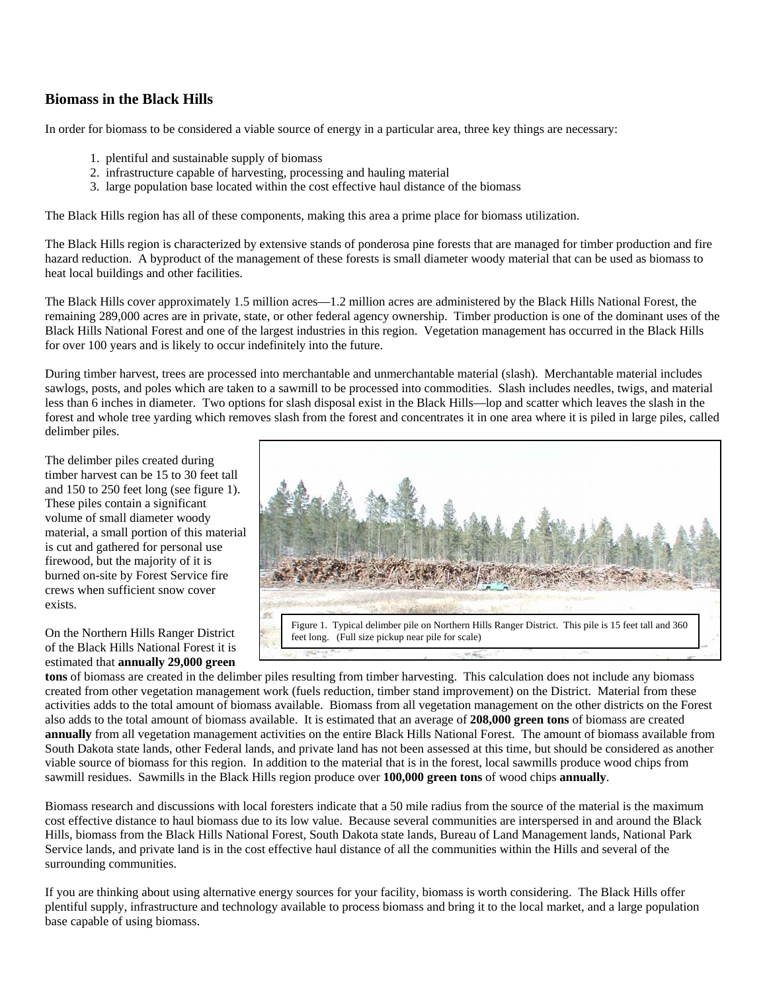# **Biomass in the Black Hills**

In order for biomass to be considered a viable source of energy in a particular area, three key things are necessary:

- 1. plentiful and sustainable supply of biomass
- 2. infrastructure capable of harvesting, processing and hauling material
- 3. large population base located within the cost effective haul distance of the biomass

The Black Hills region has all of these components, making this area a prime place for biomass utilization.

The Black Hills region is characterized by extensive stands of ponderosa pine forests that are managed for timber production and fire hazard reduction. A byproduct of the management of these forests is small diameter woody material that can be used as biomass to heat local buildings and other facilities.

The Black Hills cover approximately 1.5 million acres—1.2 million acres are administered by the Black Hills National Forest, the remaining 289,000 acres are in private, state, or other federal agency ownership. Timber production is one of the dominant uses of the Black Hills National Forest and one of the largest industries in this region. Vegetation management has occurred in the Black Hills for over 100 years and is likely to occur indefinitely into the future.

During timber harvest, trees are processed into merchantable and unmerchantable material (slash). Merchantable material includes sawlogs, posts, and poles which are taken to a sawmill to be processed into commodities. Slash includes needles, twigs, and material less than 6 inches in diameter. Two options for slash disposal exist in the Black Hills—lop and scatter which leaves the slash in the forest and whole tree yarding which removes slash from the forest and concentrates it in one area where it is piled in large piles, called delimber piles.

The delimber piles created during timber harvest can be 15 to 30 feet tall and 150 to 250 feet long (see figure 1). These piles contain a significant volume of small diameter woody material, a small portion of this material is cut and gathered for personal use firewood, but the majority of it is burned on-site by Forest Service fire crews when sufficient snow cover exists.

On the Northern Hills Ranger District of the Black Hills National Forest it is estimated that **annually 29,000 green** 



**tons** of biomass are created in the delimber piles resulting from timber harvesting. This calculation does not include any biomass created from other vegetation management work (fuels reduction, timber stand improvement) on the District. Material from these activities adds to the total amount of biomass available. Biomass from all vegetation management on the other districts on the Forest also adds to the total amount of biomass available. It is estimated that an average of **208,000 green tons** of biomass are created **annually** from all vegetation management activities on the entire Black Hills National Forest. The amount of biomass available from South Dakota state lands, other Federal lands, and private land has not been assessed at this time, but should be considered as another viable source of biomass for this region. In addition to the material that is in the forest, local sawmills produce wood chips from sawmill residues. Sawmills in the Black Hills region produce over **100,000 green tons** of wood chips **annually**.

Biomass research and discussions with local foresters indicate that a 50 mile radius from the source of the material is the maximum cost effective distance to haul biomass due to its low value. Because several communities are interspersed in and around the Black Hills, biomass from the Black Hills National Forest, South Dakota state lands, Bureau of Land Management lands, National Park Service lands, and private land is in the cost effective haul distance of all the communities within the Hills and several of the surrounding communities.

If you are thinking about using alternative energy sources for your facility, biomass is worth considering. The Black Hills offer plentiful supply, infrastructure and technology available to process biomass and bring it to the local market, and a large population base capable of using biomass.